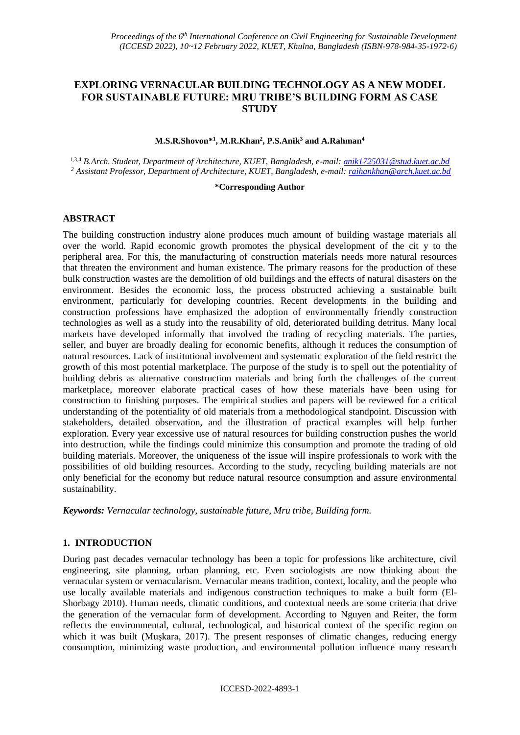# **EXPLORING VERNACULAR BUILDING TECHNOLOGY AS A NEW MODEL FOR SUSTAINABLE FUTURE: MRU TRIBE'S BUILDING FORM AS CASE STUDY**

#### **M.S.R.Shovon\* 1 , M.R.Khan<sup>2</sup> , P.S.Anik<sup>3</sup> and A.Rahman<sup>4</sup>**

1,3,4 *B.Arch. Student, Department of Architecture, KUET, Bangladesh, e-mail[: anik1725031@stud.kuet.ac.bd](mailto:anik1725031@stud.kuet.ac.bd) <sup>2</sup> Assistant Professor, Department of Architecture, KUET, Bangladesh, e-mail: [raihankhan@arch.kuet.ac.bd](mailto:raihankhan@arch.kuet.ac.bd)* 

#### **\*Corresponding Author**

#### **ABSTRACT**

The building construction industry alone produces much amount of building wastage materials all over the world. Rapid economic growth promotes the physical development of the cit y to the peripheral area. For this, the manufacturing of construction materials needs more natural resources that threaten the environment and human existence. The primary reasons for the production of these bulk construction wastes are the demolition of old buildings and the effects of natural disasters on the environment. Besides the economic loss, the process obstructed achieving a sustainable built environment, particularly for developing countries. Recent developments in the building and construction professions have emphasized the adoption of environmentally friendly construction technologies as well as a study into the reusability of old, deteriorated building detritus. Many local markets have developed informally that involved the trading of recycling materials. The parties, seller, and buyer are broadly dealing for economic benefits, although it reduces the consumption of natural resources. Lack of institutional involvement and systematic exploration of the field restrict the growth of this most potential marketplace. The purpose of the study is to spell out the potentiality of building debris as alternative construction materials and bring forth the challenges of the current marketplace, moreover elaborate practical cases of how these materials have been using for construction to finishing purposes. The empirical studies and papers will be reviewed for a critical understanding of the potentiality of old materials from a methodological standpoint. Discussion with stakeholders, detailed observation, and the illustration of practical examples will help further exploration. Every year excessive use of natural resources for building construction pushes the world into destruction, while the findings could minimize this consumption and promote the trading of old building materials. Moreover, the uniqueness of the issue will inspire professionals to work with the possibilities of old building resources. According to the study, recycling building materials are not only beneficial for the economy but reduce natural resource consumption and assure environmental sustainability.

*Keywords: Vernacular technology, sustainable future, Mru tribe, Building form.*

#### **1. INTRODUCTION**

During past decades vernacular technology has been a topic for professions like architecture, civil engineering, site planning, urban planning, etc. Even sociologists are now thinking about the vernacular system or vernacularism. Vernacular means tradition, context, locality, and the people who use locally available materials and indigenous construction techniques to make a built form (El-Shorbagy 2010). Human needs, climatic conditions, and contextual needs are some criteria that drive the generation of the vernacular form of development. According to Nguyen and Reiter, the form reflects the environmental, cultural, technological, and historical context of the specific region on which it was built (Muşkara, 2017). The present responses of climatic changes, reducing energy consumption, minimizing waste production, and environmental pollution influence many research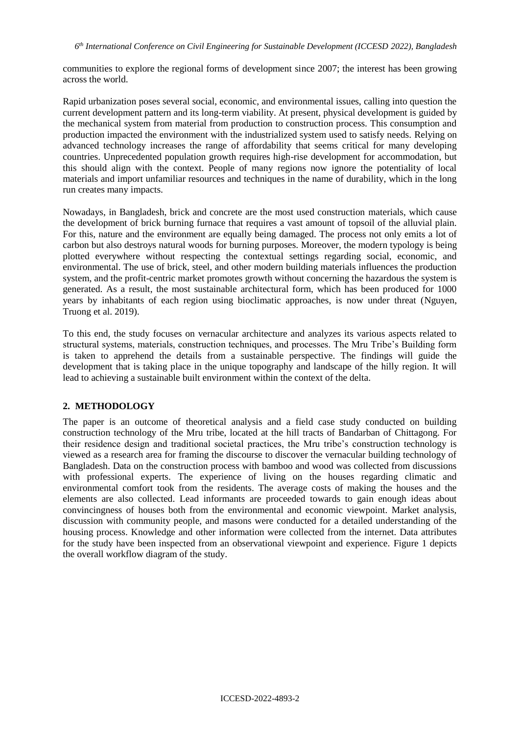communities to explore the regional forms of development since 2007; the interest has been growing across the world.

Rapid urbanization poses several social, economic, and environmental issues, calling into question the current development pattern and its long-term viability. At present, physical development is guided by the mechanical system from material from production to construction process. This consumption and production impacted the environment with the industrialized system used to satisfy needs. Relying on advanced technology increases the range of affordability that seems critical for many developing countries. Unprecedented population growth requires high-rise development for accommodation, but this should align with the context. People of many regions now ignore the potentiality of local materials and import unfamiliar resources and techniques in the name of durability, which in the long run creates many impacts.

Nowadays, in Bangladesh, brick and concrete are the most used construction materials, which cause the development of brick burning furnace that requires a vast amount of topsoil of the alluvial plain. For this, nature and the environment are equally being damaged. The process not only emits a lot of carbon but also destroys natural woods for burning purposes. Moreover, the modern typology is being plotted everywhere without respecting the contextual settings regarding social, economic, and environmental. The use of brick, steel, and other modern building materials influences the production system, and the profit-centric market promotes growth without concerning the hazardous the system is generated. As a result, the most sustainable architectural form, which has been produced for 1000 years by inhabitants of each region using bioclimatic approaches, is now under threat (Nguyen, Truong et al. 2019).

To this end, the study focuses on vernacular architecture and analyzes its various aspects related to structural systems, materials, construction techniques, and processes. The Mru Tribe's Building form is taken to apprehend the details from a sustainable perspective. The findings will guide the development that is taking place in the unique topography and landscape of the hilly region. It will lead to achieving a sustainable built environment within the context of the delta.

#### **2. METHODOLOGY**

The paper is an outcome of theoretical analysis and a field case study conducted on building construction technology of the Mru tribe, located at the hill tracts of Bandarban of Chittagong. For their residence design and traditional societal practices, the Mru tribe's construction technology is viewed as a research area for framing the discourse to discover the vernacular building technology of Bangladesh. Data on the construction process with bamboo and wood was collected from discussions with professional experts. The experience of living on the houses regarding climatic and environmental comfort took from the residents. The average costs of making the houses and the elements are also collected. Lead informants are proceeded towards to gain enough ideas about convincingness of houses both from the environmental and economic viewpoint. Market analysis, discussion with community people, and masons were conducted for a detailed understanding of the housing process. Knowledge and other information were collected from the internet. Data attributes for the study have been inspected from an observational viewpoint and experience. Figure 1 depicts the overall workflow diagram of the study.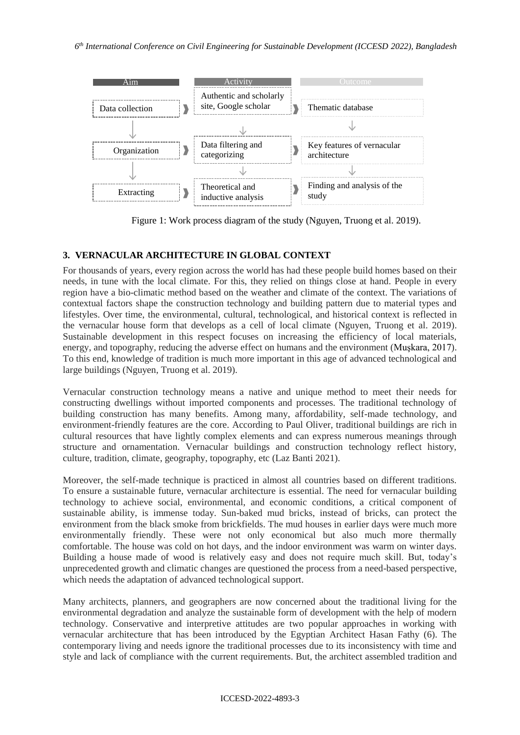

Figure 1: Work process diagram of the study (Nguyen, Truong et al. 2019).

# **3. VERNACULAR ARCHITECTURE IN GLOBAL CONTEXT**

For thousands of years, every region across the world has had these people build homes based on their needs, in tune with the local climate. For this, they relied on things close at hand. People in every region have a bio-climatic method based on the weather and climate of the context. The variations of contextual factors shape the construction technology and building pattern due to material types and lifestyles. Over time, the environmental, cultural, technological, and historical context is reflected in the vernacular house form that develops as a cell of local climate (Nguyen, Truong et al. 2019). Sustainable development in this respect focuses on increasing the efficiency of local materials, energy, and topography, reducing the adverse effect on humans and the environment (Muşkara, 2017). To this end, knowledge of tradition is much more important in this age of advanced technological and large buildings (Nguyen, Truong et al. 2019).

Vernacular construction technology means a native and unique method to meet their needs for constructing dwellings without imported components and processes. The traditional technology of building construction has many benefits. Among many, affordability, self-made technology, and environment-friendly features are the core. According to Paul Oliver, traditional buildings are rich in cultural resources that have lightly complex elements and can express numerous meanings through structure and ornamentation. Vernacular buildings and construction technology reflect history, culture, tradition, climate, geography, topography, etc (Laz Banti 2021).

Moreover, the self-made technique is practiced in almost all countries based on different traditions. To ensure a sustainable future, vernacular architecture is essential. The need for vernacular building technology to achieve social, environmental, and economic conditions, a critical component of sustainable ability, is immense today. Sun-baked mud bricks, instead of bricks, can protect the environment from the black smoke from brickfields. The mud houses in earlier days were much more environmentally friendly. These were not only economical but also much more thermally comfortable. The house was cold on hot days, and the indoor environment was warm on winter days. Building a house made of wood is relatively easy and does not require much skill. But, today's unprecedented growth and climatic changes are questioned the process from a need-based perspective, which needs the adaptation of advanced technological support.

Many architects, planners, and geographers are now concerned about the traditional living for the environmental degradation and analyze the sustainable form of development with the help of modern technology. Conservative and interpretive attitudes are two popular approaches in working with vernacular architecture that has been introduced by the Egyptian Architect Hasan Fathy (6). The contemporary living and needs ignore the traditional processes due to its inconsistency with time and style and lack of compliance with the current requirements. But, the architect assembled tradition and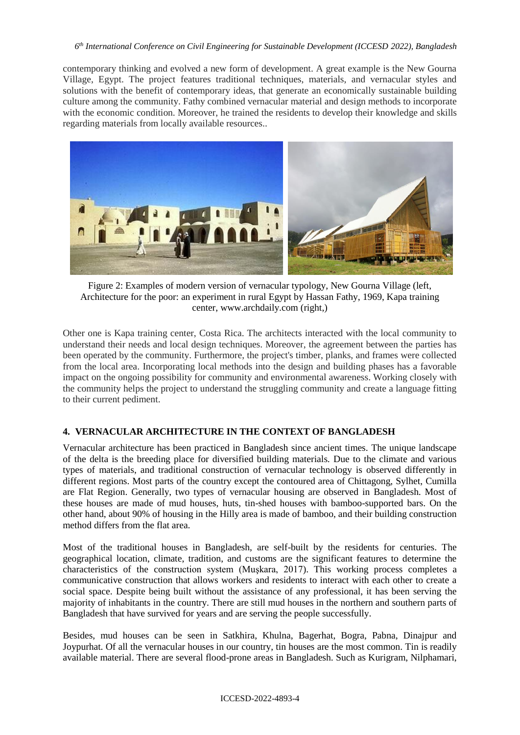contemporary thinking and evolved a new form of development. A great example is the New Gourna Village, Egypt. The project features traditional techniques, materials, and vernacular styles and solutions with the benefit of contemporary ideas, that generate an economically sustainable building culture among the community. Fathy combined vernacular material and design methods to incorporate with the economic condition. Moreover, he trained the residents to develop their knowledge and skills regarding materials from locally available resources..



Figure 2: Examples of modern version of vernacular typology, New Gourna Village (left, Architecture for the poor: an experiment in rural Egypt by Hassan Fathy, 1969, Kapa training center, www.archdaily.com (right,)

Other one is Kapa training center, Costa Rica. The architects interacted with the local community to understand their needs and local design techniques. Moreover, the agreement between the parties has been operated by the community. Furthermore, the project's timber, planks, and frames were collected from the local area. Incorporating local methods into the design and building phases has a favorable impact on the ongoing possibility for community and environmental awareness. Working closely with the community helps the project to understand the struggling community and create a language fitting to their current pediment.

# **4. VERNACULAR ARCHITECTURE IN THE CONTEXT OF BANGLADESH**

Vernacular architecture has been practiced in Bangladesh since ancient times. The unique landscape of the delta is the breeding place for diversified building materials. Due to the climate and various types of materials, and traditional construction of vernacular technology is observed differently in different regions. Most parts of the country except the contoured area of Chittagong, Sylhet, Cumilla are Flat Region. Generally, two types of vernacular housing are observed in Bangladesh. Most of these houses are made of mud houses, huts, tin-shed houses with bamboo-supported bars. On the other hand, about 90% of housing in the Hilly area is made of bamboo, and their building construction method differs from the flat area.

Most of the traditional houses in Bangladesh, are self-built by the residents for centuries. The geographical location, climate, tradition, and customs are the significant features to determine the characteristics of the construction system (Muşkara, 2017). This working process completes a communicative construction that allows workers and residents to interact with each other to create a social space. Despite being built without the assistance of any professional, it has been serving the majority of inhabitants in the country. There are still mud houses in the northern and southern parts of Bangladesh that have survived for years and are serving the people successfully.

Besides, mud houses can be seen in Satkhira, Khulna, Bagerhat, Bogra, Pabna, Dinajpur and Joypurhat. Of all the vernacular houses in our country, tin houses are the most common. Tin is readily available material. There are several flood-prone areas in Bangladesh. Such as Kurigram, Nilphamari,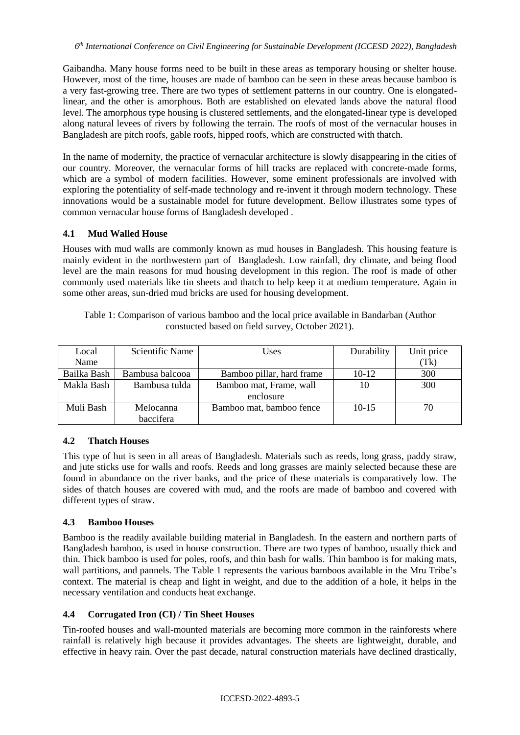Gaibandha. Many house forms need to be built in these areas as temporary housing or shelter house. However, most of the time, houses are made of bamboo can be seen in these areas because bamboo is a very fast-growing tree. There are two types of settlement patterns in our country. One is elongatedlinear, and the other is amorphous. Both are established on elevated lands above the natural flood level. The amorphous type housing is clustered settlements, and the elongated-linear type is developed along natural levees of rivers by following the terrain. The roofs of most of the vernacular houses in Bangladesh are pitch roofs, gable roofs, hipped roofs, which are constructed with thatch.

In the name of modernity, the practice of vernacular architecture is slowly disappearing in the cities of our country. Moreover, the vernacular forms of hill tracks are replaced with concrete-made forms, which are a symbol of modern facilities. However, some eminent professionals are involved with exploring the potentiality of self-made technology and re-invent it through modern technology. These innovations would be a sustainable model for future development. Bellow illustrates some types of common vernacular house forms of Bangladesh developed .

### **4.1 Mud Walled House**

Houses with mud walls are commonly known as mud houses in Bangladesh. This housing feature is mainly evident in the northwestern part of Bangladesh. Low rainfall, dry climate, and being flood level are the main reasons for mud housing development in this region. The roof is made of other commonly used materials like tin sheets and thatch to help keep it at medium temperature. Again in some other areas, sun-dried mud bricks are used for housing development.

| Local       | Scientific Name | Uses                      | Durability | Unit price |
|-------------|-----------------|---------------------------|------------|------------|
| Name        |                 |                           |            | (Tk)       |
| Bailka Bash | Bambusa balcooa | Bamboo pillar, hard frame | $10-12$    | 300        |
| Makla Bash  | Bambusa tulda   | Bamboo mat, Frame, wall   | 10         | 300        |
|             |                 | enclosure                 |            |            |
| Muli Bash   | Melocanna       | Bamboo mat, bamboo fence  | $10 - 15$  | 70         |
|             | baccifera       |                           |            |            |

Table 1: Comparison of various bamboo and the local price available in Bandarban (Author constucted based on field survey, October 2021).

#### **4.2 Thatch Houses**

This type of hut is seen in all areas of Bangladesh. Materials such as reeds, long grass, paddy straw, and jute sticks use for walls and roofs. Reeds and long grasses are mainly selected because these are found in abundance on the river banks, and the price of these materials is comparatively low. The sides of thatch houses are covered with mud, and the roofs are made of bamboo and covered with different types of straw.

#### **4.3 Bamboo Houses**

Bamboo is the readily available building material in Bangladesh. In the eastern and northern parts of Bangladesh bamboo, is used in house construction. There are two types of bamboo, usually thick and thin. Thick bamboo is used for poles, roofs, and thin bash for walls. Thin bamboo is for making mats, wall partitions, and pannels. The Table 1 represents the various bamboos available in the Mru Tribe's context. The material is cheap and light in weight, and due to the addition of a hole, it helps in the necessary ventilation and conducts heat exchange.

#### **4.4 Corrugated Iron (CI) / Tin Sheet Houses**

Tin-roofed houses and wall-mounted materials are becoming more common in the rainforests where rainfall is relatively high because it provides advantages. The sheets are lightweight, durable, and effective in heavy rain. Over the past decade, natural construction materials have declined drastically,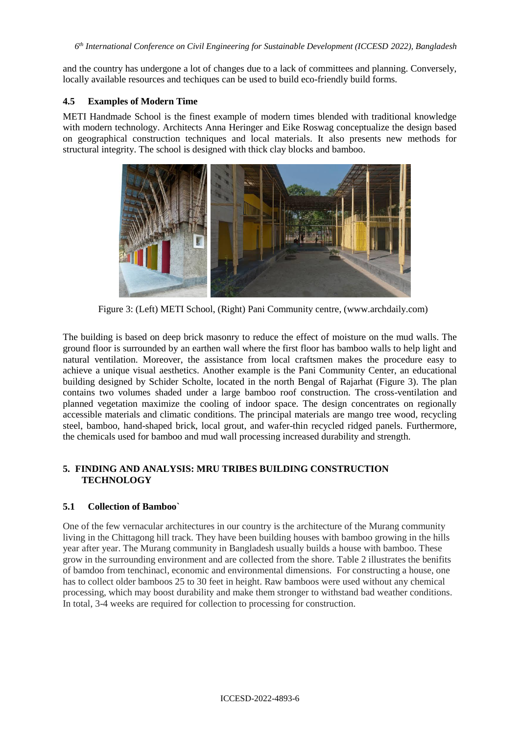*6 th International Conference on Civil Engineering for Sustainable Development (ICCESD 2022), Bangladesh*

and the country has undergone a lot of changes due to a lack of committees and planning. Conversely, locally available resources and techiques can be used to build eco-friendly build forms.

### **4.5 Examples of Modern Time**

METI Handmade School is the finest example of modern times blended with traditional knowledge with modern technology. Architects Anna Heringer and Eike Roswag conceptualize the design based on geographical construction techniques and local materials. It also presents new methods for structural integrity. The school is designed with thick clay blocks and bamboo.



Figure 3: (Left) METI School, (Right) Pani Community centre, (www.archdaily.com)

The building is based on deep brick masonry to reduce the effect of moisture on the mud walls. The ground floor is surrounded by an earthen wall where the first floor has bamboo walls to help light and natural ventilation. Moreover, the assistance from local craftsmen makes the procedure easy to achieve a unique visual aesthetics. Another example is the Pani Community Center, an educational building designed by Schider Scholte, located in the north Bengal of Rajarhat (Figure 3). The plan contains two volumes shaded under a large bamboo roof construction. The cross-ventilation and planned vegetation maximize the cooling of indoor space. The design concentrates on regionally accessible materials and climatic conditions. The principal materials are mango tree wood, recycling steel, bamboo, hand-shaped brick, local grout, and wafer-thin recycled ridged panels. Furthermore, the chemicals used for bamboo and mud wall processing increased durability and strength.

### **5. FINDING AND ANALYSIS: MRU TRIBES BUILDING CONSTRUCTION TECHNOLOGY**

# **5.1 Collection of Bamboo`**

One of the few vernacular architectures in our country is the architecture of the Murang community living in the Chittagong hill track. They have been building houses with bamboo growing in the hills year after year. The Murang community in Bangladesh usually builds a house with bamboo. These grow in the surrounding environment and are collected from the shore. Table 2 illustrates the benifits of bamdoo from tenchinacl, economic and environmental dimensions. For constructing a house, one has to collect older bamboos 25 to 30 feet in height. Raw bamboos were used without any chemical processing, which may boost durability and make them stronger to withstand bad weather conditions. In total, 3-4 weeks are required for collection to processing for construction.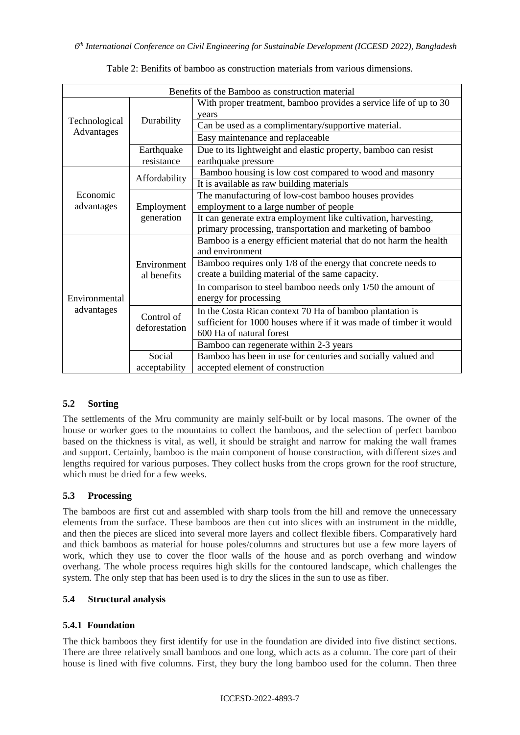| Benefits of the Bamboo as construction material |                             |                                                                    |  |  |  |  |
|-------------------------------------------------|-----------------------------|--------------------------------------------------------------------|--|--|--|--|
| Technological<br>Advantages                     | Durability                  | With proper treatment, bamboo provides a service life of up to 30  |  |  |  |  |
|                                                 |                             | years                                                              |  |  |  |  |
|                                                 |                             | Can be used as a complimentary/supportive material.                |  |  |  |  |
|                                                 |                             | Easy maintenance and replaceable                                   |  |  |  |  |
|                                                 | Earthquake                  | Due to its lightweight and elastic property, bamboo can resist     |  |  |  |  |
|                                                 | resistance                  | earthquake pressure                                                |  |  |  |  |
| Economic                                        | Affordability               | Bamboo housing is low cost compared to wood and masonry            |  |  |  |  |
|                                                 |                             | It is available as raw building materials                          |  |  |  |  |
|                                                 | Employment<br>generation    | The manufacturing of low-cost bamboo houses provides               |  |  |  |  |
| advantages                                      |                             | employment to a large number of people                             |  |  |  |  |
|                                                 |                             | It can generate extra employment like cultivation, harvesting,     |  |  |  |  |
|                                                 |                             | primary processing, transportation and marketing of bamboo         |  |  |  |  |
|                                                 | Environment<br>al benefits  | Bamboo is a energy efficient material that do not harm the health  |  |  |  |  |
|                                                 |                             | and environment                                                    |  |  |  |  |
|                                                 |                             | Bamboo requires only 1/8 of the energy that concrete needs to      |  |  |  |  |
|                                                 |                             | create a building material of the same capacity.                   |  |  |  |  |
| Environmental                                   |                             | In comparison to steel bamboo needs only 1/50 the amount of        |  |  |  |  |
|                                                 |                             | energy for processing                                              |  |  |  |  |
| advantages                                      | Control of<br>deforestation | In the Costa Rican context 70 Ha of bamboo plantation is           |  |  |  |  |
|                                                 |                             | sufficient for 1000 houses where if it was made of timber it would |  |  |  |  |
|                                                 |                             | 600 Ha of natural forest                                           |  |  |  |  |
|                                                 |                             | Bamboo can regenerate within 2-3 years                             |  |  |  |  |
|                                                 | Social                      | Bamboo has been in use for centuries and socially valued and       |  |  |  |  |
|                                                 | acceptability               | accepted element of construction                                   |  |  |  |  |

Table 2: Benifits of bamboo as construction materials from various dimensions.

# **5.2 Sorting**

The settlements of the Mru community are mainly self-built or by local masons. The owner of the house or worker goes to the mountains to collect the bamboos, and the selection of perfect bamboo based on the thickness is vital, as well, it should be straight and narrow for making the wall frames and support. Certainly, bamboo is the main component of house construction, with different sizes and lengths required for various purposes. They collect husks from the crops grown for the roof structure, which must be dried for a few weeks.

# **5.3 Processing**

The bamboos are first cut and assembled with sharp tools from the hill and remove the unnecessary elements from the surface. These bamboos are then cut into slices with an instrument in the middle, and then the pieces are sliced into several more layers and collect flexible fibers. Comparatively hard and thick bamboos as material for house poles/columns and structures but use a few more layers of work, which they use to cover the floor walls of the house and as porch overhang and window overhang. The whole process requires high skills for the contoured landscape, which challenges the system. The only step that has been used is to dry the slices in the sun to use as fiber.

# **5.4 Structural analysis**

# **5.4.1 Foundation**

The thick bamboos they first identify for use in the foundation are divided into five distinct sections. There are three relatively small bamboos and one long, which acts as a column. The core part of their house is lined with five columns. First, they bury the long bamboo used for the column. Then three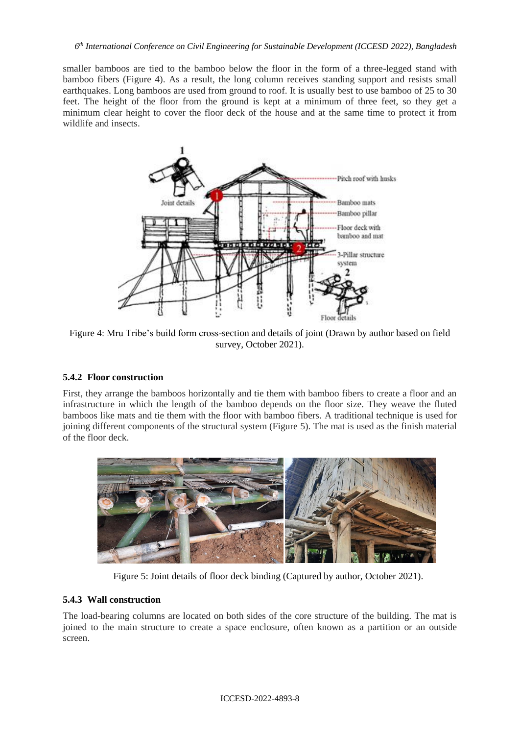smaller bamboos are tied to the bamboo below the floor in the form of a three-legged stand with bamboo fibers (Figure 4). As a result, the long column receives standing support and resists small earthquakes. Long bamboos are used from ground to roof. It is usually best to use bamboo of 25 to 30 feet. The height of the floor from the ground is kept at a minimum of three feet, so they get a minimum clear height to cover the floor deck of the house and at the same time to protect it from wildlife and insects.



Figure 4: Mru Tribe's build form cross-section and details of joint (Drawn by author based on field survey, October 2021).

# **5.4.2 Floor construction**

First, they arrange the bamboos horizontally and tie them with bamboo fibers to create a floor and an infrastructure in which the length of the bamboo depends on the floor size. They weave the fluted bamboos like mats and tie them with the floor with bamboo fibers. A traditional technique is used for joining different components of the structural system (Figure 5). The mat is used as the finish material of the floor deck.



Figure 5: Joint details of floor deck binding (Captured by author, October 2021).

# **5.4.3 Wall construction**

The load-bearing columns are located on both sides of the core structure of the building. The mat is joined to the main structure to create a space enclosure, often known as a partition or an outside screen.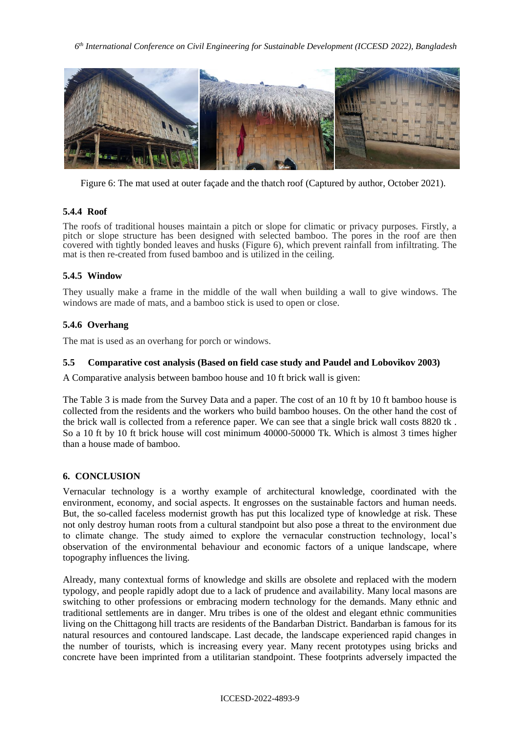

Figure 6: The mat used at outer façade and the thatch roof (Captured by author, October 2021).

# **5.4.4 Roof**

The roofs of traditional houses maintain a pitch or slope for climatic or privacy purposes. Firstly, a pitch or slope structure has been designed with selected bamboo. The pores in the roof are then covered with tightly bonded leaves and husks (Figure 6), which prevent rainfall from infiltrating. The mat is then re-created from fused bamboo and is utilized in the ceiling.

### **5.4.5 Window**

They usually make a frame in the middle of the wall when building a wall to give windows. The windows are made of mats, and a bamboo stick is used to open or close.

### **5.4.6 Overhang**

The mat is used as an overhang for porch or windows.

#### **5.5 Comparative cost analysis (Based on field case study and Paudel and Lobovikov 2003)**

A Comparative analysis between bamboo house and 10 ft brick wall is given:

The Table 3 is made from the Survey Data and a paper. The cost of an 10 ft by 10 ft bamboo house is collected from the residents and the workers who build bamboo houses. On the other hand the cost of the brick wall is collected from a reference paper. We can see that a single brick wall costs 8820 tk . So a 10 ft by 10 ft brick house will cost minimum 40000-50000 Tk. Which is almost 3 times higher than a house made of bamboo.

#### **6. CONCLUSION**

Vernacular technology is a worthy example of architectural knowledge, coordinated with the environment, economy, and social aspects. It engrosses on the sustainable factors and human needs. But, the so-called faceless modernist growth has put this localized type of knowledge at risk. These not only destroy human roots from a cultural standpoint but also pose a threat to the environment due to climate change. The study aimed to explore the vernacular construction technology, local's observation of the environmental behaviour and economic factors of a unique landscape, where topography influences the living.

Already, many contextual forms of knowledge and skills are obsolete and replaced with the modern typology, and people rapidly adopt due to a lack of prudence and availability. Many local masons are switching to other professions or embracing modern technology for the demands. Many ethnic and traditional settlements are in danger. Mru tribes is one of the oldest and elegant ethnic communities living on the Chittagong hill tracts are residents of the Bandarban District. Bandarban is famous for its natural resources and contoured landscape. Last decade, the landscape experienced rapid changes in the number of tourists, which is increasing every year. Many recent prototypes using bricks and concrete have been imprinted from a utilitarian standpoint. These footprints adversely impacted the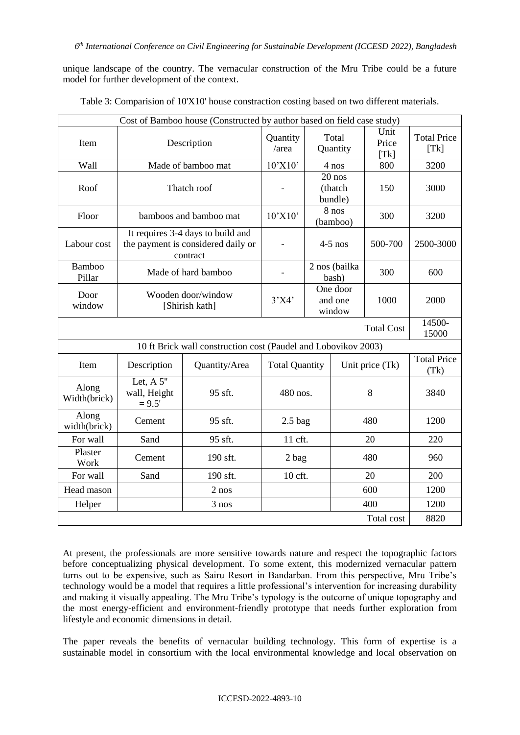unique landscape of the country. The vernacular construction of the Mru Tribe could be a future model for further development of the context.

| Cost of Bamboo house (Constructed by author based on field case study) |                                                                                     |                     |                             |                                |                   |                       |                            |  |  |
|------------------------------------------------------------------------|-------------------------------------------------------------------------------------|---------------------|-----------------------------|--------------------------------|-------------------|-----------------------|----------------------------|--|--|
| Item                                                                   |                                                                                     | Description         | Quantity<br>/area           |                                | Total<br>Quantity | Unit<br>Price<br>[Tk] | <b>Total Price</b><br>[Tk] |  |  |
| Wall                                                                   | Made of bamboo mat                                                                  |                     | $10^{\circ}$ X $10^{\circ}$ | 4 nos                          |                   | 800                   | 3200                       |  |  |
| Roof                                                                   | Thatch roof                                                                         |                     |                             | $20$ nos<br>(thatch<br>bundle) |                   | 150                   | 3000                       |  |  |
| Floor                                                                  | bamboos and bamboo mat                                                              |                     | 10'X10'                     | 8 nos<br>(bamboo)              |                   | 300                   | 3200                       |  |  |
| Labour cost                                                            | It requires 3-4 days to build and<br>the payment is considered daily or<br>contract |                     |                             | $4-5$ nos                      |                   | 500-700               | 2500-3000                  |  |  |
| <b>Bamboo</b><br>Pillar                                                |                                                                                     | Made of hard bamboo |                             | 2 nos (bailka<br>bash)         |                   | 300                   | 600                        |  |  |
| Door<br>window                                                         | Wooden door/window<br>[Shirish kath]                                                |                     | 3'X4'                       | One door<br>and one<br>window  |                   | 1000                  | 2000                       |  |  |
| <b>Total Cost</b>                                                      |                                                                                     |                     |                             |                                |                   |                       |                            |  |  |
| 10 ft Brick wall construction cost (Paudel and Lobovikov 2003)         |                                                                                     |                     |                             |                                |                   |                       |                            |  |  |
| Item                                                                   | Description                                                                         | Quantity/Area       | <b>Total Quantity</b>       |                                | Unit price (Tk)   |                       | <b>Total Price</b><br>(Tk) |  |  |
| Along<br>Width(brick)                                                  | Let, $A 5"$<br>wall, Height<br>$= 9.5'$                                             | 95 sft.             | 480 nos.                    |                                | 8                 |                       | 3840                       |  |  |
| Along<br>width(brick)                                                  | Cement                                                                              | 95 sft.             | $2.5$ bag                   |                                | 480               |                       | 1200                       |  |  |
| For wall                                                               | Sand                                                                                | 95 sft.             | 11 cft.                     |                                | 20                |                       | 220                        |  |  |
| Plaster<br>Work                                                        | Cement                                                                              | 190 sft.            | $2$ bag                     |                                | 480               |                       | 960                        |  |  |
| For wall                                                               | Sand                                                                                | 190 sft.            | 10 cft.                     |                                | 20                |                       | 200                        |  |  |
| Head mason                                                             |                                                                                     | 2 nos               |                             |                                | 600               |                       | 1200                       |  |  |
| Helper                                                                 |                                                                                     | 3 nos               |                             |                                |                   | 400                   | 1200                       |  |  |
| Total cost                                                             |                                                                                     |                     |                             |                                |                   |                       |                            |  |  |

Table 3: Comparision of 10'X10' house constraction costing based on two different materials.

At present, the professionals are more sensitive towards nature and respect the topographic factors before conceptualizing physical development. To some extent, this modernized vernacular pattern turns out to be expensive, such as Sairu Resort in Bandarban. From this perspective, Mru Tribe's technology would be a model that requires a little professional's intervention for increasing durability and making it visually appealing. The Mru Tribe's typology is the outcome of unique topography and the most energy-efficient and environment-friendly prototype that needs further exploration from lifestyle and economic dimensions in detail.

The paper reveals the benefits of vernacular building technology. This form of expertise is a sustainable model in consortium with the local environmental knowledge and local observation on